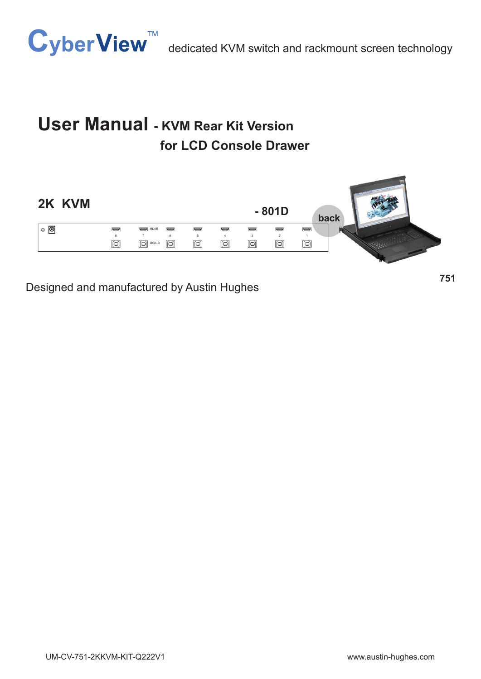

# **User Manual - KVM Rear Kit Version for LCD Console Drawer**



Designed and manufactured by Austin Hughes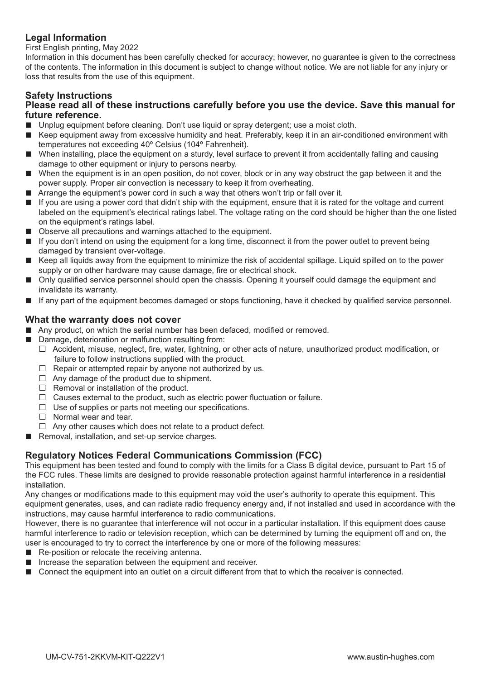### **Legal Information**

First English printing, May 2022

Information in this document has been carefully checked for accuracy; however, no guarantee is given to the correctness of the contents. The information in this document is subject to change without notice. We are not liable for any injury or loss that results from the use of this equipment.

### **Safety Instructions**

#### **Please read all of these instructions carefully before you use the device. Save this manual for future reference.**

- Unplug equipment before cleaning. Don't use liquid or spray detergent; use a moist cloth.
- Keep equipment away from excessive humidity and heat. Preferably, keep it in an air-conditioned environment with temperatures not exceeding 40º Celsius (104º Fahrenheit).
- When installing, place the equipment on a sturdy, level surface to prevent it from accidentally falling and causing damage to other equipment or injury to persons nearby.
- When the equipment is in an open position, do not cover, block or in any way obstruct the gap between it and the power supply. Proper air convection is necessary to keep it from overheating.
- Arrange the equipment's power cord in such a way that others won't trip or fall over it.
- If you are using a power cord that didn't ship with the equipment, ensure that it is rated for the voltage and current labeled on the equipment's electrical ratings label. The voltage rating on the cord should be higher than the one listed on the equipment's ratings label.
- Observe all precautions and warnings attached to the equipment.
- If you don't intend on using the equipment for a long time, disconnect it from the power outlet to prevent being damaged by transient over-voltage.
- Keep all liquids away from the equipment to minimize the risk of accidental spillage. Liquid spilled on to the power supply or on other hardware may cause damage, fire or electrical shock.
- Only qualified service personnel should open the chassis. Opening it yourself could damage the equipment and invalidate its warranty.
- If any part of the equipment becomes damaged or stops functioning, have it checked by qualified service personnel.

#### **What the warranty does not cover**

- Any product, on which the serial number has been defaced, modified or removed.
- Damage, deterioration or malfunction resulting from:
	- $\Box$  Accident, misuse, neglect, fire, water, lightning, or other acts of nature, unauthorized product modification, or failure to follow instructions supplied with the product.
	- $\Box$  Repair or attempted repair by anyone not authorized by us.
	- $\Box$  Any damage of the product due to shipment.
	- $\Box$  Removal or installation of the product.
	- $\Box$  Causes external to the product, such as electric power fluctuation or failure.
	- $\Box$  Use of supplies or parts not meeting our specifications.
	- $\Box$  Normal wear and tear.
	- $\Box$  Any other causes which does not relate to a product defect.
- Removal, installation, and set-up service charges.

### **Regulatory Notices Federal Communications Commission (FCC)**

This equipment has been tested and found to comply with the limits for a Class B digital device, pursuant to Part 15 of the FCC rules. These limits are designed to provide reasonable protection against harmful interference in a residential installation.

Any changes or modifications made to this equipment may void the user's authority to operate this equipment. This equipment generates, uses, and can radiate radio frequency energy and, if not installed and used in accordance with the instructions, may cause harmful interference to radio communications.

However, there is no guarantee that interference will not occur in a particular installation. If this equipment does cause harmful interference to radio or television reception, which can be determined by turning the equipment off and on, the user is encouraged to try to correct the interference by one or more of the following measures:

- Re-position or relocate the receiving antenna.
- Increase the separation between the equipment and receiver.
- Connect the equipment into an outlet on a circuit different from that to which the receiver is connected.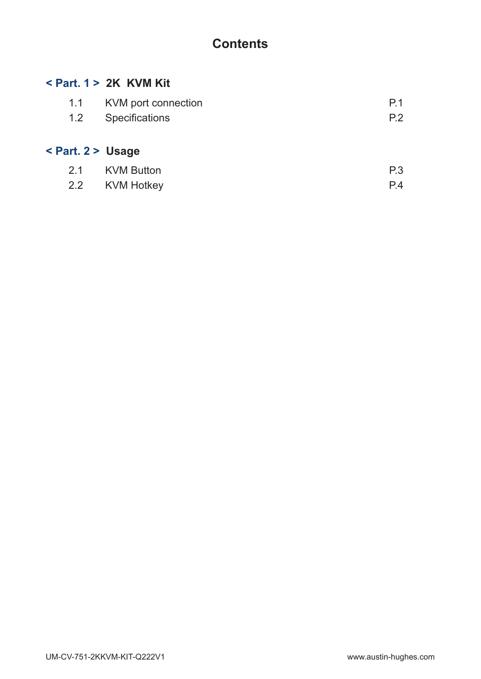# **Contents**

### **< Part. 1 > 2K KVM Kit**

| 1.1 KVM port connection | P.1 |
|-------------------------|-----|
| 1.2 Specifications      | P.2 |
|                         |     |

# **< Part. 2 > Usage**

| 2.1 KVM Button | P.3 |
|----------------|-----|
| 2.2 KVM Hotkey | P.4 |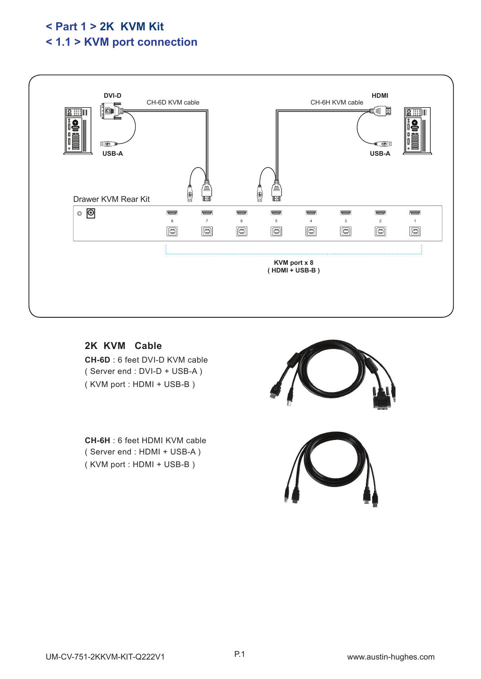# **< Part 1 > 2K KVM Kit < 1.1 > KVM port connection**



**2K KVM Cable CH-6D** : 6 feet DVI-D KVM cable ( Server end : DVI-D + USB-A ) ( KVM port : HDMI + USB-B )

**CH-6H** : 6 feet HDMI KVM cable ( Server end : HDMI + USB-A ) ( KVM port : HDMI + USB-B )

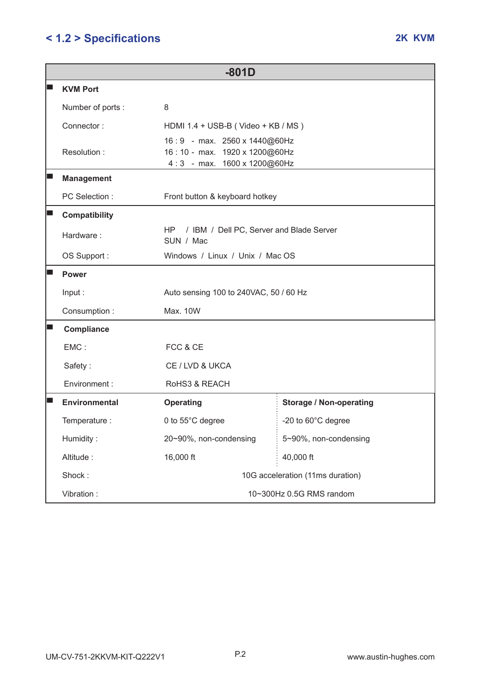# **< 1.2 > Specifi cations 2K KVM**

| $-801D$              |                                                                                              |                                  |  |  |
|----------------------|----------------------------------------------------------------------------------------------|----------------------------------|--|--|
| <b>KVM Port</b>      |                                                                                              |                                  |  |  |
| Number of ports:     | 8                                                                                            |                                  |  |  |
| Connector:           | HDMI 1.4 + USB-B (Video + KB / MS)                                                           |                                  |  |  |
| Resolution:          | 16:9 - max. 2560 x 1440@60Hz<br>16:10 - max. 1920 x 1200@60Hz<br>4:3 - max. 1600 x 1200@60Hz |                                  |  |  |
| <b>Management</b>    |                                                                                              |                                  |  |  |
| PC Selection :       | Front button & keyboard hotkey                                                               |                                  |  |  |
| <b>Compatibility</b> |                                                                                              |                                  |  |  |
| Hardware:            | / IBM / Dell PC, Server and Blade Server<br>HP<br>SUN / Mac                                  |                                  |  |  |
| OS Support:          | Windows / Linux / Unix / Mac OS                                                              |                                  |  |  |
| Power                | Auto sensing 100 to 240VAC, 50 / 60 Hz<br>Max. 10W                                           |                                  |  |  |
| Input:               |                                                                                              |                                  |  |  |
| Consumption:         |                                                                                              |                                  |  |  |
| Compliance           |                                                                                              |                                  |  |  |
| EMC:                 | FCC & CE<br>CE / LVD & UKCA<br>RoHS3 & REACH                                                 |                                  |  |  |
| Safety:              |                                                                                              |                                  |  |  |
| Environment :        |                                                                                              |                                  |  |  |
| <b>Environmental</b> | <b>Operating</b>                                                                             | <b>Storage / Non-operating</b>   |  |  |
| Temperature :        | 0 to 55°C degree                                                                             | -20 to 60°C degree               |  |  |
| Humidity:            | 20~90%, non-condensing                                                                       | 5~90%, non-condensing            |  |  |
| Altitude:            | 16,000 ft                                                                                    | 40,000 ft                        |  |  |
| Shock:               |                                                                                              | 10G acceleration (11ms duration) |  |  |
| Vibration:           | 10~300Hz 0.5G RMS random                                                                     |                                  |  |  |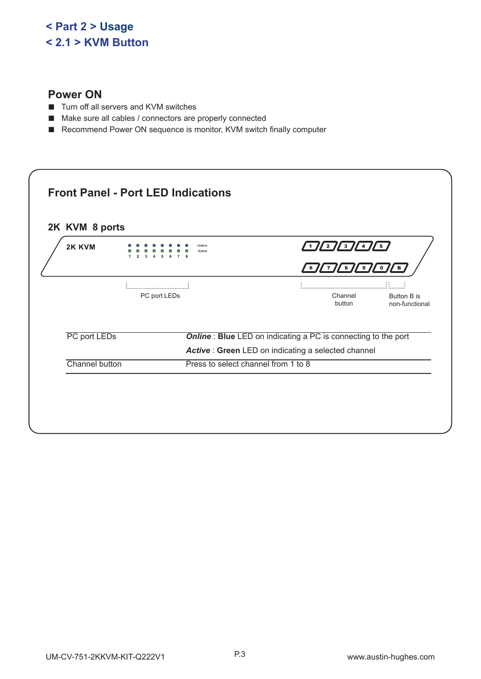# **< Part 2 > Usage < 2.1 > KVM Button**

### **Power ON**

- Turn off all servers and KVM switches
- Make sure all cables / connectors are properly connected
- Recommend Power ON sequence is monitor, KVM switch finally computer

| 2K KVM         |              | Online<br>Active                                                     |                | $\frac{1}{2}$ $\frac{1}{2}$ $\frac{1}{2}$ $\frac{1}{2}$ $\frac{1}{2}$ | / 5,                                 |
|----------------|--------------|----------------------------------------------------------------------|----------------|-----------------------------------------------------------------------|--------------------------------------|
|                |              |                                                                      | 6 <sub>1</sub> | / 8 <i> </i><br>Ι9Ι<br>$^{\prime}$ 7 $_{\prime}$                      | 0<br>в<br>∷                          |
|                | PC port LEDs |                                                                      |                | Channel<br>button                                                     | <b>Button B is</b><br>non-functional |
| PC port LEDs   |              | <b>Online: Blue LED on indicating a PC is connecting to the port</b> |                |                                                                       |                                      |
|                |              | Active : Green LED on indicating a selected channel                  |                |                                                                       |                                      |
| Channel button |              | Press to select channel from 1 to 8                                  |                |                                                                       |                                      |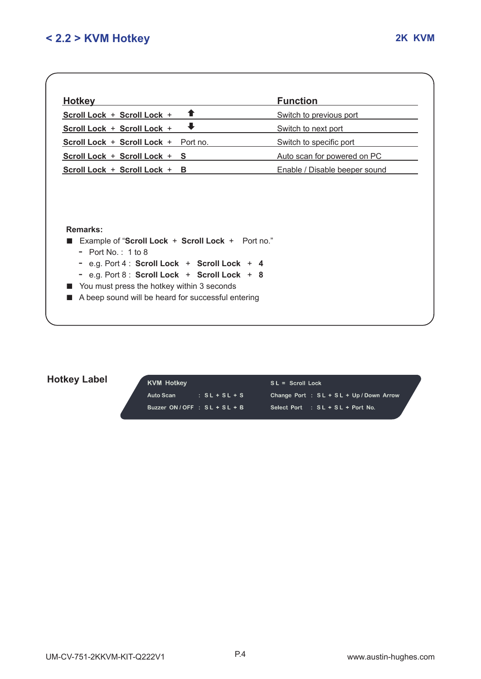| <b>Hotkey</b>                                                                                                                                                                                                                                                                        | <b>Function</b>               |
|--------------------------------------------------------------------------------------------------------------------------------------------------------------------------------------------------------------------------------------------------------------------------------------|-------------------------------|
| Scroll Lock + Scroll Lock +                                                                                                                                                                                                                                                          | Switch to previous port       |
| Scroll Lock + Scroll Lock +                                                                                                                                                                                                                                                          | Switch to next port           |
| Scroll Lock + Scroll Lock + Port no.                                                                                                                                                                                                                                                 | Switch to specific port       |
| Scroll Lock + Scroll Lock + S                                                                                                                                                                                                                                                        | Auto scan for powered on PC   |
| Scroll Lock + Scroll Lock + B                                                                                                                                                                                                                                                        | Enable / Disable beeper sound |
| Remarks:                                                                                                                                                                                                                                                                             |                               |
| Example of "Scroll Lock + Scroll Lock + Port no."<br>- Port No $\cdot$ 1 to 8<br>- e.g. Port $4:$ Scroll Lock + Scroll Lock + 4<br>- e.g. Port 8 : Scroll Lock + Scroll Lock + 8<br>You must press the hotkey within 3 seconds<br>A beep sound will be heard for successful entering |                               |

## **Hotkey Label**

| <b>KVM Hotkey</b>             |                 | $SL =$ Scroll Lock                     |  |
|-------------------------------|-----------------|----------------------------------------|--|
| Auto Scan                     | $: SL + SL + S$ | Change Port: SL + SL + Up / Down Arrow |  |
| Buzzer $ON/OFF : SL + SL + B$ |                 | Select Port : SL + SL + Port No.       |  |